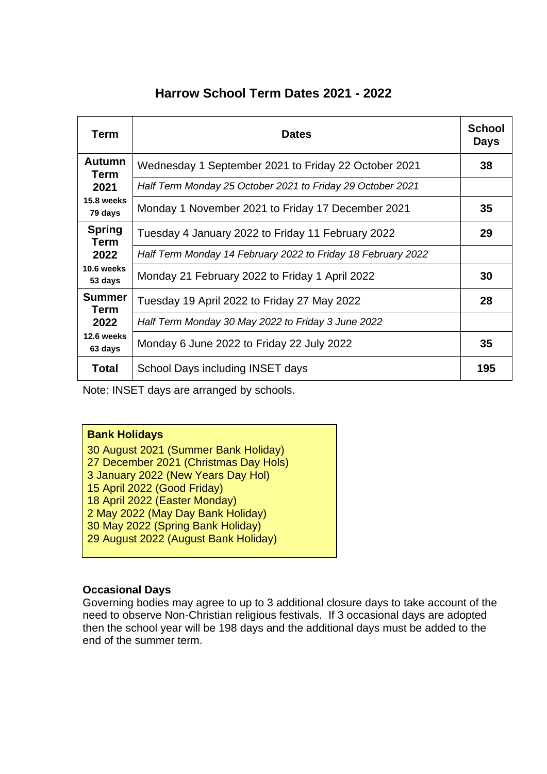# **Harrow School Term Dates 2021 - 2022**

| Term                         | <b>Dates</b>                                                 | <b>School</b><br><b>Days</b> |
|------------------------------|--------------------------------------------------------------|------------------------------|
| <b>Autumn</b><br>Term        | Wednesday 1 September 2021 to Friday 22 October 2021         | 38                           |
| 2021                         | Half Term Monday 25 October 2021 to Friday 29 October 2021   |                              |
| 15.8 weeks<br>79 days        | Monday 1 November 2021 to Friday 17 December 2021            | 35                           |
| <b>Spring</b><br>Term        | Tuesday 4 January 2022 to Friday 11 February 2022            | 29                           |
| 2022                         | Half Term Monday 14 February 2022 to Friday 18 February 2022 |                              |
| 10.6 weeks<br>53 days        | Monday 21 February 2022 to Friday 1 April 2022               | 30                           |
| <b>Summer</b><br><b>Term</b> | Tuesday 19 April 2022 to Friday 27 May 2022                  | 28                           |
| 2022                         | Half Term Monday 30 May 2022 to Friday 3 June 2022           |                              |
| 12.6 weeks<br>63 days        | Monday 6 June 2022 to Friday 22 July 2022                    | 35                           |
| <b>Total</b>                 | School Days including INSET days                             | 195                          |

Note: INSET days are arranged by schools.

## **Bank Holidays**

30 August 2021 (Summer Bank Holiday) 27 December 2021 (Christmas Day Hols) 3 January 2022 (New Years Day Hol) 15 April 2022 (Good Friday) 18 April 2022 (Easter Monday) 2 May 2022 (May Day Bank Holiday) 30 May 2022 (Spring Bank Holiday) 29 August 2022 (August Bank Holiday)

# **Occasional Days**

Governing bodies may agree to up to 3 additional closure days to take account of the need to observe Non-Christian religious festivals. If 3 occasional days are adopted then the school year will be 198 days and the additional days must be added to the end of the summer term.